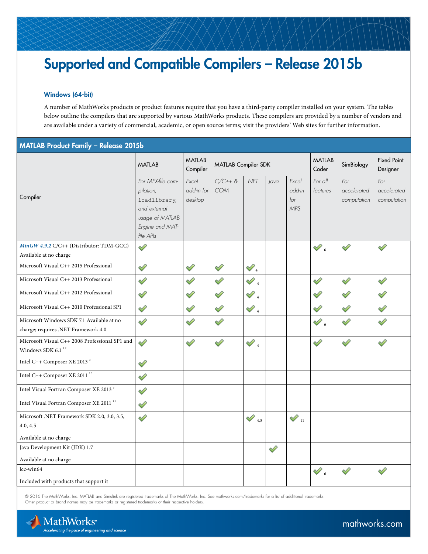# Supported and Compatible Compilers – Release 2015b

## Windows (64-bit)

A number of MathWorks products or product features require that you have a third-party compiler installed on your system. The tables below outline the compilers that are supported by various MathWorks products. These compilers are provided by a number of vendors and are available under a variety of commercial, academic, or open source terms; visit the providers' Web sites for further information.

## MATLAB Product Family – Release 2015b

|                                                                                  | <b>MATLAB</b>                                                                                                     | <b>MATLAB</b><br>Compiler      | <b>MATLAB Compiler SDK</b> |                     |      |                                      | <b>MATLAB</b><br>Coder | SimBiology                        | <b>Fixed Point</b><br>Designer    |
|----------------------------------------------------------------------------------|-------------------------------------------------------------------------------------------------------------------|--------------------------------|----------------------------|---------------------|------|--------------------------------------|------------------------|-----------------------------------|-----------------------------------|
| Compiler                                                                         | For MEX-file com-<br>pilation,<br>loadlibrary,<br>and external<br>usage of MATLAB<br>Engine and MAT-<br>file APIs | Excel<br>add-in for<br>desktop | $C/C++$ &<br>COM           | .NET                | Java | Excel<br>add-in<br>for<br><b>MPS</b> | For all<br>features    | For<br>accelerated<br>computation | For<br>accelerated<br>computation |
| MinGW 4.9.2 C/C++ (Distributor: TDM-GCC)                                         | ৶                                                                                                                 |                                |                            |                     |      |                                      | $\mathscr{D}_6$        | $\mathscr{D}$                     | ⇙                                 |
| Available at no charge                                                           |                                                                                                                   |                                |                            |                     |      |                                      |                        |                                   |                                   |
| Microsoft Visual C++ 2015 Professional                                           | ⇙                                                                                                                 | ♦                              | ♦                          | $\mathscr{D}_4$     |      |                                      |                        |                                   |                                   |
| Microsoft Visual C++ 2013 Professional                                           | ♦                                                                                                                 | ♦                              | ♦                          | $\mathcal{Q}_4$     |      |                                      | ⇙                      | ♦                                 | ♦                                 |
| Microsoft Visual C++ 2012 Professional                                           | ⇙                                                                                                                 | ♦                              | ♦                          | ${\mathscr{O}}_4$   |      |                                      | ୰                      | V                                 | Í                                 |
| Microsoft Visual C++ 2010 Professional SP1                                       | ⇙                                                                                                                 | ♦                              | $\mathscr{D}$              | $\mathscr{D}_4$     |      |                                      | ⇙                      | ⇙                                 | ⇙                                 |
| Microsoft Windows SDK 7.1 Available at no<br>charge; requires .NET Framework 4.0 | Í                                                                                                                 | ♦                              | ♦                          |                     |      |                                      | $\mathscr{O}_6$        | ⇙                                 |                                   |
| Microsoft Visual C++ 2008 Professional SP1 and<br>Windows SDK 6.1 $^{\rm 12}$    | ৶                                                                                                                 | ♦                              | ♦                          | $\mathscr{O}_4$     |      |                                      | ⇙                      | ⇙                                 | ⇙                                 |
| Intel C++ Composer XE 2013 <sup>3</sup>                                          | ⇙                                                                                                                 |                                |                            |                     |      |                                      |                        |                                   |                                   |
| Intel C++ Composer XE 2011 <sup>13</sup>                                         | ♦                                                                                                                 |                                |                            |                     |      |                                      |                        |                                   |                                   |
| Intel Visual Fortran Composer XE 2013 <sup>3</sup>                               | ♦                                                                                                                 |                                |                            |                     |      |                                      |                        |                                   |                                   |
| Intel Visual Fortran Composer XE 2011 <sup>13</sup>                              | ♦                                                                                                                 |                                |                            |                     |      |                                      |                        |                                   |                                   |
| Microsoft .NET Framework SDK 2.0, 3.0, 3.5,<br>4.0, 4.5                          | ⇙                                                                                                                 |                                |                            | $\mathcal{P}_{4,5}$ |      | $\mathscr{D}_{\textrm{m}}$           |                        |                                   |                                   |
| Available at no charge                                                           |                                                                                                                   |                                |                            |                     |      |                                      |                        |                                   |                                   |
| Java Development Kit (JDK) 1.7                                                   |                                                                                                                   |                                |                            |                     | ୰    |                                      |                        |                                   |                                   |
| Available at no charge                                                           |                                                                                                                   |                                |                            |                     |      |                                      |                        |                                   |                                   |
| $lcc$ -win64                                                                     |                                                                                                                   |                                |                            |                     |      |                                      | $\mathscr{O}_6$        | ◇                                 | ⇙                                 |
| Included with products that support it                                           |                                                                                                                   |                                |                            |                     |      |                                      |                        |                                   |                                   |

© 2016 The MathWorks, Inc. MATLAB and Simulink are registered trademarks of The MathWorks, Inc. See [mathworks.com/trademarks](http://www.mathworks.com/trademarks) for a list of additional trademarks. Other product or brand names may be trademarks or registered trademarks of their respective holders.

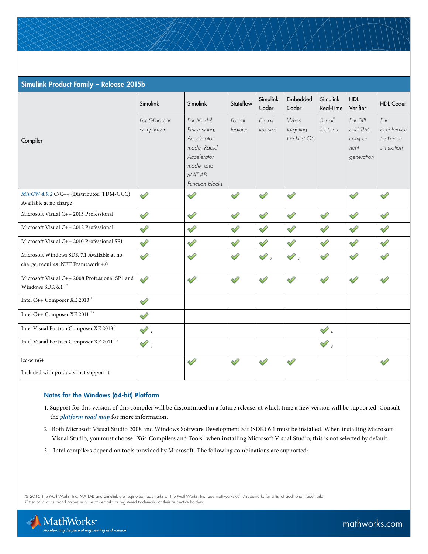| Simulink Product Family - Release 2015b                                            |                               |                                                                                                                  |                     |                     |                                  |                       |                                                    |                                               |  |
|------------------------------------------------------------------------------------|-------------------------------|------------------------------------------------------------------------------------------------------------------|---------------------|---------------------|----------------------------------|-----------------------|----------------------------------------------------|-----------------------------------------------|--|
|                                                                                    | Simulink                      | Simulink                                                                                                         | Stateflow           | Simulink<br>Coder   | Embedded<br>Coder                | Simulink<br>Real-Time | <b>HDL</b><br>Verifier                             | <b>HDL Coder</b>                              |  |
| Compiler                                                                           | For S-Function<br>compilation | For Model<br>Referencing,<br>Accelerator<br>mode, Rapid<br>Accelerator<br>mode, and<br>MATLAB<br>Function blocks | For all<br>features | For all<br>features | When<br>targeting<br>the host OS | For all<br>features   | For DPI<br>and TLM<br>compo-<br>nent<br>generation | For<br>accelerated<br>testbench<br>simulation |  |
| MinGW 4.9.2 C/C++ (Distributor: TDM-GCC)<br>Available at no charge                 | Í                             | ৶                                                                                                                | ♦                   | $\mathscr{D}$       | ৶                                |                       | Í                                                  | ⇙                                             |  |
| Microsoft Visual C++ 2013 Professional                                             | ⇙                             | ♦                                                                                                                | D                   | ⇙                   | ⇙                                | ⇙                     | $\mathscr{D}$                                      | ♦                                             |  |
| Microsoft Visual C++ 2012 Professional                                             | ♦                             | ⇙                                                                                                                | Í                   | ⇙                   | ♦                                | ⇙                     | ୰                                                  | ⇙                                             |  |
| Microsoft Visual C++ 2010 Professional SP1                                         | ৶                             | ♦                                                                                                                | ♦                   | ♦                   | ♦                                | ♦                     | ♦                                                  | ♦                                             |  |
| Microsoft Windows SDK 7.1 Available at no<br>charge; requires .NET Framework 4.0   | ⇙                             | ⇙                                                                                                                | ⇙                   | $\mathscr{D}_\tau$  | $\mathscr{D}_\tau$               | Î                     | Í                                                  | ⇙                                             |  |
| Microsoft Visual C++ 2008 Professional SP1 and<br>Windows SDK 6.1 $^{\mathrm{12}}$ | ৶                             | ⇙                                                                                                                | ⇙                   | ⇙                   | ♦                                | ♦                     | ♦                                                  | ⇙                                             |  |
| Intel C++ Composer XE 2013 <sup>3</sup>                                            | ⇙                             |                                                                                                                  |                     |                     |                                  |                       |                                                    |                                               |  |
| Intel C++ Composer XE 2011 $^{\rm 13}$                                             | ♦                             |                                                                                                                  |                     |                     |                                  |                       |                                                    |                                               |  |
| Intel Visual Fortran Composer XE 2013 <sup>3</sup>                                 | $\mathscr{D}_s$               |                                                                                                                  |                     |                     |                                  | $\mathscr{D}$ ,       |                                                    |                                               |  |
| Intel Visual Fortran Composer XE 2011 $^{\rm 13}$                                  | $\mathscr{D}_s$               |                                                                                                                  |                     |                     |                                  | $\mathscr{D}$ ,       |                                                    |                                               |  |
| lcc-win64<br>Included with products that support it                                |                               | ⇙                                                                                                                | ⇙                   | $\mathscr{D}$       | ୰                                |                       |                                                    | D                                             |  |
|                                                                                    |                               |                                                                                                                  |                     |                     |                                  |                       |                                                    |                                               |  |

## Notes for the Windows (64-bit) Platform

- 1. Support for this version of this compiler will be discontinued in a future release, at which time a new version will be supported. Consult the *[platform road map](http://www.mathworks.com/support/sysreq/roadmap.html)* for more information.
- 2. Both Microsoft Visual Studio 2008 and Windows Software Development Kit (SDK) 6.1 must be installed. When installing Microsoft Visual Studio, you must choose "X64 Compilers and Tools" when installing Microsoft Visual Studio; this is not selected by default.
- 3. Intel compilers depend on tools provided by Microsoft. The following combinations are supported:

© 2016 The MathWorks, Inc. MATLAB and Simulink are registered trademarks of The MathWorks, Inc. See [mathworks.com/trademarks](http://www.mathworks.com/trademarks) for a list of additional trademarks. Other product or brand names may be trademarks or registered trademarks of their respective holders.

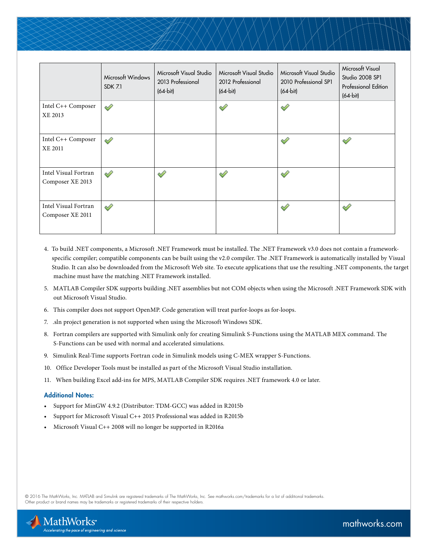|                                          | Microsoft Windows<br><b>SDK 7.1</b> | Microsoft Visual Studio<br>2013 Professional<br>$(64-bit)$ | Microsoft Visual Studio<br>2012 Professional<br>$(64-bit)$ | Microsoft Visual Studio<br>2010 Professional SP1<br>$(64-bit)$ | Microsoft Visual<br>Studio 2008 SP1<br><b>Professional Edition</b><br>$(64-bit)$ |
|------------------------------------------|-------------------------------------|------------------------------------------------------------|------------------------------------------------------------|----------------------------------------------------------------|----------------------------------------------------------------------------------|
| Intel C++ Composer<br>XE 2013            | ⇙                                   |                                                            | ৶                                                          | ⇙                                                              |                                                                                  |
| Intel C++ Composer<br><b>XE 2011</b>     | ৶                                   |                                                            |                                                            | Ï                                                              | Í                                                                                |
| Intel Visual Fortran<br>Composer XE 2013 | ⇙                                   | ⇙                                                          | Î                                                          | ⇙                                                              |                                                                                  |
| Intel Visual Fortran<br>Composer XE 2011 | ⇙                                   |                                                            |                                                            | ⇙                                                              | ⇙                                                                                |

- 4. To build .NET components, a Microsoft .NET Framework must be installed. The .NET Framework v3.0 does not contain a framework specific compiler; compatible components can be built using the v2.0 compiler. The .NET Framework is automatically installed by Visual Studio. It can also be downloaded from the Microsoft Web site. To execute applications that use the resulting .NET components, the target machine must have the matching .NET Framework installed.
- 5. MATLAB Compiler SDK supports building .NET assemblies but not COM objects when using the Microsoft .NET Framework SDK with out Microsoft Visual Studio.
- 6. This compiler does not support OpenMP. Code generation will treat parfor-loops as for-loops.
- 7. .sln project generation is not supported when using the Microsoft Windows SDK.
- 8. Fortran compilers are supported with Simulink only for creating Simulink S-Functions using the MATLAB MEX command. The S-Functions can be used with normal and accelerated simulations.
- 9. Simulink Real-Time supports Fortran code in Simulink models using C-MEX wrapper S-Functions.
- 10. Office Developer Tools must be installed as part of the Microsoft Visual Studio installation.
- 11. When building Excel add-ins for MPS, MATLAB Compiler SDK requires .NET framework 4.0 or later.

#### Additional Notes:

- Support for MinGW 4.9.2 (Distributor: TDM-GCC) was added in R2015b
- Support for Microsoft Visual C++ 2015 Professional was added in R2015b
- Microsoft Visual C++ 2008 will no longer be supported in R2016a

© 2016 The MathWorks, Inc. MATLAB and Simulink are registered trademarks of The MathWorks, Inc. See [mathworks.com/trademarks](http://www.mathworks.com/trademarks) for a list of additional trademarks. Other product or brand names may be trademarks or registered trademarks of their respective holders.

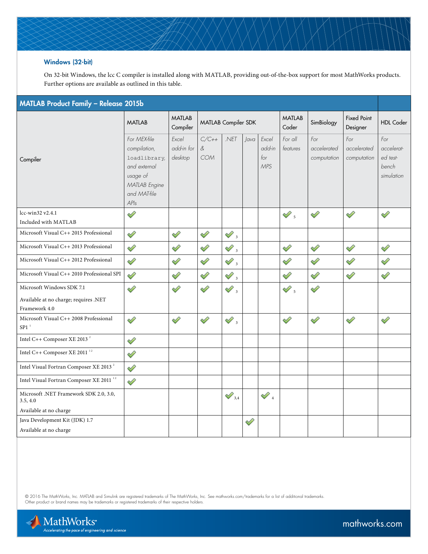## Windows (32-bit)

On 32-bit Windows, the lcc C compiler is installed along with MATLAB, providing out-of-the-box support for most MathWorks products. Further options are available as outlined in this table.

| MATLAB Product Family - Release 2015b                                               |                                                                                                                   |                                |                               |                                              |      |                                      |                                                                                                      |                                   |                                   |                                                      |
|-------------------------------------------------------------------------------------|-------------------------------------------------------------------------------------------------------------------|--------------------------------|-------------------------------|----------------------------------------------|------|--------------------------------------|------------------------------------------------------------------------------------------------------|-----------------------------------|-----------------------------------|------------------------------------------------------|
|                                                                                     | <b>MATLAB</b>                                                                                                     | <b>MATLAB</b><br>Compiler      | MATLAB Compiler SDK           |                                              |      | <b>MATLAB</b><br>Coder               | SimBiology                                                                                           | <b>Fixed Point</b><br>Designer    | <b>HDL Coder</b>                  |                                                      |
| Compiler                                                                            | For MEX-file<br>compilation,<br>loadlibrary,<br>and external<br>usage of<br>MATLAB Engine<br>and MAT-file<br>APIs | Fxcel<br>add-in for<br>desktop | $C/C++$<br>$\&$<br><b>COM</b> | .NET                                         | Java | Fxcel<br>add-in<br>for<br><b>MPS</b> | For all<br>features                                                                                  | For<br>accelerated<br>computation | For<br>accelerated<br>computation | For<br>accelerat-<br>ed test-<br>bench<br>simulation |
| lcc-win32 v2.4.1<br>Included with MATLAB                                            | ⇙                                                                                                                 |                                |                               |                                              |      |                                      | $\mathscr{D}% _{T}=\mathscr{D}_{T}\!\left( a,b\right) ,\ \mathscr{D}_{T}=C_{T}\!\left( a,b\right) ,$ | ⇙                                 | ✓                                 | ⇙                                                    |
| Microsoft Visual C++ 2015 Professional                                              | ⇙                                                                                                                 | ♦                              | ♦                             | $\mathscr{O}$ ,                              |      |                                      |                                                                                                      |                                   |                                   |                                                      |
| Microsoft Visual C++ 2013 Professional                                              | ⇙                                                                                                                 | ♦                              | ♦                             | $\mathscr{O}$ ,                              |      |                                      | ♦                                                                                                    | ♦                                 | Í                                 | ♦                                                    |
| Microsoft Visual C++ 2012 Professional                                              | ⇙                                                                                                                 | ♦                              | ♦                             | $\mathscr{D}% _{A}^{\ast}(\mathbb{R}^{N})$ , |      |                                      | ♦                                                                                                    | ♦                                 | ⇙                                 | ⇙                                                    |
| Microsoft Visual C++ 2010 Professional SPI                                          | ৶                                                                                                                 | ♦                              | ♦                             | $\mathscr{D}_\beta$                          |      |                                      | ♦                                                                                                    | ♦                                 | V                                 | ♦                                                    |
| Microsoft Windows SDK 7.1<br>Available at no charge; requires .NET<br>Framework 4.0 | ♦                                                                                                                 | ♦                              | Í                             | $\mathscr{O}$ ,                              |      |                                      | $\mathscr{O}$ ,                                                                                      | $\mathscr{D}$                     |                                   |                                                      |
| Microsoft Visual C++ 2008 Professional<br>$SP1^{-1}$                                | ৶                                                                                                                 | ⇙                              | ⇙                             | $\mathscr{D}$ ,                              |      |                                      | ♦                                                                                                    | ♦                                 | ⇙                                 | Í                                                    |
| Intel C++ Composer XE 2013 <sup>2</sup>                                             | ♦                                                                                                                 |                                |                               |                                              |      |                                      |                                                                                                      |                                   |                                   |                                                      |
| Intel C++ Composer XE 2011 <sup>12</sup>                                            | ♦                                                                                                                 |                                |                               |                                              |      |                                      |                                                                                                      |                                   |                                   |                                                      |
| Intel Visual Fortran Composer XE 2013 <sup>2</sup>                                  | ⇙                                                                                                                 |                                |                               |                                              |      |                                      |                                                                                                      |                                   |                                   |                                                      |
| Intel Visual Fortran Composer XE 2011 <sup>12</sup>                                 | ♦                                                                                                                 |                                |                               |                                              |      |                                      |                                                                                                      |                                   |                                   |                                                      |
| Microsoft .NET Framework SDK 2.0, 3.0,<br>3.5, 4.0                                  |                                                                                                                   |                                |                               | $\mathcal{S}_{3,4}$                          |      | $\mathscr{D}_4$                      |                                                                                                      |                                   |                                   |                                                      |
| Available at no charge<br>Java Development Kit (JDK) 1.7                            |                                                                                                                   |                                |                               |                                              |      |                                      |                                                                                                      |                                   |                                   |                                                      |
| Available at no charge                                                              |                                                                                                                   |                                |                               |                                              | ♦    |                                      |                                                                                                      |                                   |                                   |                                                      |

© 2016 The MathWorks, Inc. MATLAB and Simulink are registered trademarks of The MathWorks, Inc. See [mathworks.com/trademarks](http://www.mathworks.com/trademarks) for a list of additional trademarks.<br>Other product or brand names may be trademarks or registered

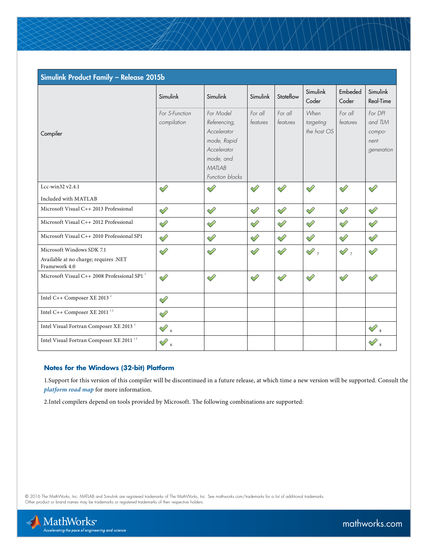| Simulink Product Family - Release 2015b                                             |                               |                                                                                                                  |                     |                     |                                  |                     |                                                    |  |  |  |
|-------------------------------------------------------------------------------------|-------------------------------|------------------------------------------------------------------------------------------------------------------|---------------------|---------------------|----------------------------------|---------------------|----------------------------------------------------|--|--|--|
|                                                                                     | Simulink                      | Simulink                                                                                                         | Simulink            | Stateflow           | Simulink<br>Coder                | Embeded<br>Coder    | Simulink<br>Real-Time                              |  |  |  |
| Compiler                                                                            | For S-Function<br>compilation | For Model<br>Referencing,<br>Accelerator<br>mode, Rapid<br>Accelerator<br>mode, and<br>MATLAB<br>Function blocks | For all<br>features | For all<br>features | When<br>targeting<br>the host OS | For all<br>features | For DPI<br>and TLM<br>compo-<br>nent<br>generation |  |  |  |
| Lcc-win32 v2.4.1                                                                    | $\mathscr{D}$                 | ⇙                                                                                                                | ⇙                   | D                   | Í                                | ♦                   | ♦                                                  |  |  |  |
| Included with MATLAB                                                                |                               |                                                                                                                  |                     |                     |                                  |                     |                                                    |  |  |  |
| Microsoft Visual C++ 2013 Professional                                              | ♦                             | ♦                                                                                                                | Í                   | V                   | ♦                                | ♦                   | V                                                  |  |  |  |
| Microsoft Visual C++ 2012 Professional                                              | ⇙                             | ⇙                                                                                                                | ⇙                   | ⇙                   | ⇙                                | ⇙                   | ♦                                                  |  |  |  |
| Microsoft Visual C++ 2010 Professional SP1                                          | $\mathscr{S}$                 | ♦                                                                                                                | V                   | ♦                   | Í                                | ♦                   | ♦                                                  |  |  |  |
| Microsoft Windows SDK 7.1<br>Available at no charge; requires .NET<br>Framework 4.0 | ♦                             | V                                                                                                                | Í                   | V                   | $\mathscr{O}$ ,                  | $\mathscr{D}$ ,     | ♦                                                  |  |  |  |
| Microsoft Visual C++ 2008 Professional SP1 <sup>1</sup>                             | ⇙                             | ♦                                                                                                                | ♦                   | ⇙                   | ♦                                | ♦                   | ♦                                                  |  |  |  |
| Intel C++ Composer XE 2013 <sup>2</sup>                                             | Í                             |                                                                                                                  |                     |                     |                                  |                     |                                                    |  |  |  |
| Intel C++ Composer XE 2011 $^{\rm 12}$                                              | ♦                             |                                                                                                                  |                     |                     |                                  |                     |                                                    |  |  |  |
| Intel Visual Fortran Composer XE 2013 <sup>2</sup>                                  | $\mathcal{O}_6$               |                                                                                                                  |                     |                     |                                  |                     | $\mathscr{S}_s$                                    |  |  |  |
| Intel Visual Fortran Composer XE 2011 <sup>12</sup>                                 | $\mathscr{D}% _{0}$ ,         |                                                                                                                  |                     |                     |                                  |                     |                                                    |  |  |  |

## **Notes for the Windows (32-bit) Platform**

1.Support for this version of this compiler will be discontinued in a future release, at which time a new version will be supported. Consult the *[platform road map](http://www.mathworks.com/support/sysreq/roadmap.html)* for more information.

2.Intel compilers depend on tools provided by Microsoft. The following combinations are supported:

© 2016 The MathWorks, Inc. MATLAB and Simulink are registered trademarks of The MathWorks, Inc. See [mathworks.com/trademarks](http://www.mathworks.com/trademarks) for a list of additional trademarks.<br>Other product or brand names may be trademarks or registered

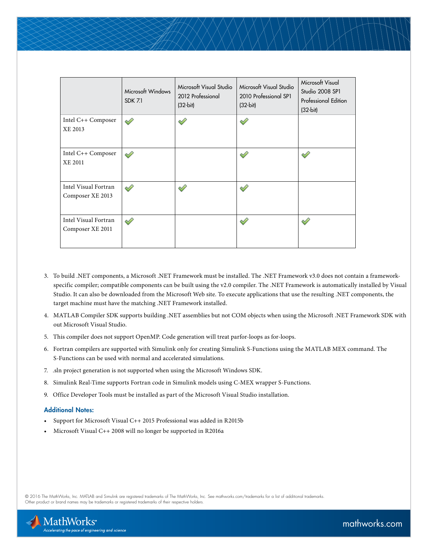|                                          | Microsoft Windows<br><b>SDK 7.1</b> | Microsoft Visual Studio<br>2012 Professional<br>$(32-bit)$ | Microsoft Visual Studio<br>2010 Professional SP1<br>$(32-bit)$ | Microsoft Visual<br>Studio 2008 SP1<br><b>Professional Edition</b><br>$(32-bit)$ |
|------------------------------------------|-------------------------------------|------------------------------------------------------------|----------------------------------------------------------------|----------------------------------------------------------------------------------|
| Intel C++ Composer<br>XE 2013            | ⇙                                   |                                                            | Í                                                              |                                                                                  |
| Intel C++ Composer<br>XE 2011            | ৶                                   |                                                            | ⇙                                                              | ✓                                                                                |
| Intel Visual Fortran<br>Composer XE 2013 | ୰                                   |                                                            |                                                                |                                                                                  |
| Intel Visual Fortran<br>Composer XE 2011 | P                                   |                                                            | ↩                                                              |                                                                                  |

- 3. To build .NET components, a Microsoft .NET Framework must be installed. The .NET Framework v3.0 does not contain a framework specific compiler; compatible components can be built using the v2.0 compiler. The .NET Framework is automatically installed by Visual Studio. It can also be downloaded from the Microsoft Web site. To execute applications that use the resulting .NET components, the target machine must have the matching .NET Framework installed.
- 4. MATLAB Compiler SDK supports building .NET assemblies but not COM objects when using the Microsoft .NET Framework SDK with out Microsoft Visual Studio.
- 5. This compiler does not support OpenMP. Code generation will treat parfor-loops as for-loops.
- 6. Fortran compilers are supported with Simulink only for creating Simulink S-Functions using the MATLAB MEX command. The S-Functions can be used with normal and accelerated simulations.
- 7. .sln project generation is not supported when using the Microsoft Windows SDK.
- 8. Simulink Real-Time supports Fortran code in Simulink models using C-MEX wrapper S-Functions.
- 9. Office Developer Tools must be installed as part of the Microsoft Visual Studio installation.

#### Additional Notes:

- Support for Microsoft Visual C++ 2015 Professional was added in R2015b
- Microsoft Visual C++ 2008 will no longer be supported in R2016a

© 2016 The MathWorks, Inc. MATLAB and Simulink are registered trademarks of The MathWorks, Inc. See [mathworks.com/trademarks](http://www.mathworks.com/trademarks) for a list of additional trademarks. Other product or brand names may be trademarks or registered trademarks of their respective holders.

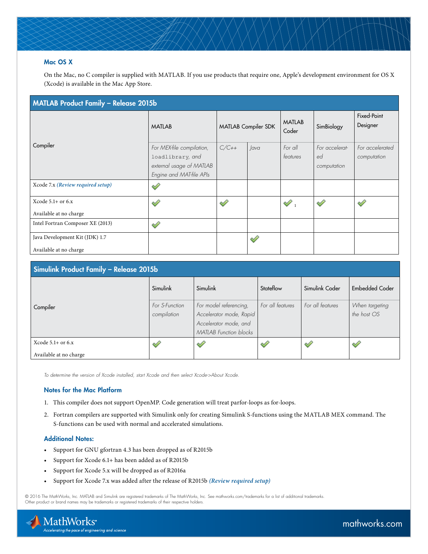## Mac OS X

On the Mac, no C compiler is supplied with MATLAB. If you use products that require one, Apple's development environment for OS X (Xcode) is available in the Mac App Store.

| MATLAB Product Family - Release 2015b                    |                                                                                                       |                     |   |                        |                                     |                                |  |  |  |
|----------------------------------------------------------|-------------------------------------------------------------------------------------------------------|---------------------|---|------------------------|-------------------------------------|--------------------------------|--|--|--|
| Compiler                                                 | <b>MATLAB</b>                                                                                         | MATLAB Compiler SDK |   | <b>MATLAB</b><br>Coder | SimBiology                          | Fixed-Point<br>Designer        |  |  |  |
|                                                          | For MEX-file compilation,<br>loadlibrary, and<br>external usage of MATLAB<br>Engine and MAT-file APIs | $C/C++$<br>lava     |   | For all<br>features    | For accelerat-<br>ed<br>computation | For accelerated<br>computation |  |  |  |
| Xcode 7.x (Review required setup)                        | ৶                                                                                                     |                     |   |                        |                                     |                                |  |  |  |
| Xcode $5.1+$ or $6.x$<br>Available at no charge          | ৶                                                                                                     | ৶                   |   | $\mathscr{D}$ .        |                                     |                                |  |  |  |
| Intel Fortran Composer XE (2013)                         | ⇙                                                                                                     |                     |   |                        |                                     |                                |  |  |  |
| Java Development Kit (JDK) 1.7<br>Available at no charge |                                                                                                       |                     | ৶ |                        |                                     |                                |  |  |  |

| <b>Simulink Product Family - Release 2015b</b> |                |                               |                  |                  |                       |  |  |  |  |
|------------------------------------------------|----------------|-------------------------------|------------------|------------------|-----------------------|--|--|--|--|
|                                                | Simulink       | Simulink<br>Stateflow         |                  | Simulink Coder   | <b>Embedded Coder</b> |  |  |  |  |
| Compiler                                       | For S-Function | For model referencing,        | For all features | For all features | When targeting        |  |  |  |  |
|                                                | compilation    | Accelerator mode, Rapid       |                  |                  | the host OS           |  |  |  |  |
|                                                |                | Accelerator mode, and         |                  |                  |                       |  |  |  |  |
|                                                |                | <b>MATLAB</b> Function blocks |                  |                  |                       |  |  |  |  |
| Xcode $5.1+$ or $6.x$                          |                | ⇙                             |                  |                  |                       |  |  |  |  |
| Available at no charge                         |                |                               |                  |                  |                       |  |  |  |  |

*To determine the version of Xcode installed, start Xcode and then select Xcode->About Xcode.*

#### Notes for the Mac Platform

- 1. This compiler does not support OpenMP. Code generation will treat parfor-loops as for-loops.
- 2. Fortran compilers are supported with Simulink only for creating Simulink S-functions using the MATLAB MEX command. The S-functions can be used with normal and accelerated simulations.

## Additional Notes:

- Support for GNU gfortran 4.3 has been dropped as of R2015b
- Support for Xcode 6.1+ has been added as of R2015b
- Support for Xcode 5.x will be dropped as of R2016a
- Support for Xcode 7.x was added after the release of R2015b *[\(Review required setup\)](http://www.mathworks.com/matlabcentral/answers/246507-why-can-t-mex-find-a-supported-compiler-in-matlab-r2015b-after-i-upgraded-to-xcode-7-0#answer_194526)*

© 2016 The MathWorks, Inc. MATLAB and Simulink are registered trademarks of The MathWorks, Inc. See [mathworks.com/trademarks](http://www.mathworks.com/trademarks) for a list of additional trademarks. Other product or brand names may be trademarks or registered trademarks of their respective holders.